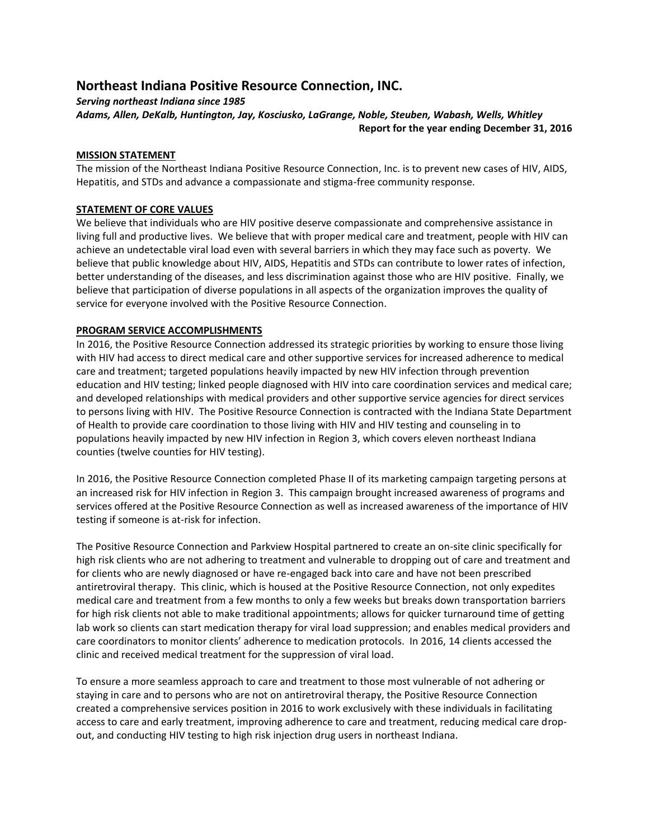# **Northeast Indiana Positive Resource Connection, INC.**

*Serving northeast Indiana since 1985*

*Adams, Allen, DeKalb, Huntington, Jay, Kosciusko, LaGrange, Noble, Steuben, Wabash, Wells, Whitley* **Report for the year ending December 31, 2016**

# **MISSION STATEMENT**

The mission of the Northeast Indiana Positive Resource Connection, Inc. is to prevent new cases of HIV, AIDS, Hepatitis, and STDs and advance a compassionate and stigma-free community response.

# **STATEMENT OF CORE VALUES**

We believe that individuals who are HIV positive deserve compassionate and comprehensive assistance in living full and productive lives. We believe that with proper medical care and treatment, people with HIV can achieve an undetectable viral load even with several barriers in which they may face such as poverty. We believe that public knowledge about HIV, AIDS, Hepatitis and STDs can contribute to lower rates of infection, better understanding of the diseases, and less discrimination against those who are HIV positive. Finally, we believe that participation of diverse populations in all aspects of the organization improves the quality of service for everyone involved with the Positive Resource Connection.

# **PROGRAM SERVICE ACCOMPLISHMENTS**

In 2016, the Positive Resource Connection addressed its strategic priorities by working to ensure those living with HIV had access to direct medical care and other supportive services for increased adherence to medical care and treatment; targeted populations heavily impacted by new HIV infection through prevention education and HIV testing; linked people diagnosed with HIV into care coordination services and medical care; and developed relationships with medical providers and other supportive service agencies for direct services to persons living with HIV. The Positive Resource Connection is contracted with the Indiana State Department of Health to provide care coordination to those living with HIV and HIV testing and counseling in to populations heavily impacted by new HIV infection in Region 3, which covers eleven northeast Indiana counties (twelve counties for HIV testing).

In 2016, the Positive Resource Connection completed Phase II of its marketing campaign targeting persons at an increased risk for HIV infection in Region 3. This campaign brought increased awareness of programs and services offered at the Positive Resource Connection as well as increased awareness of the importance of HIV testing if someone is at-risk for infection.

The Positive Resource Connection and Parkview Hospital partnered to create an on-site clinic specifically for high risk clients who are not adhering to treatment and vulnerable to dropping out of care and treatment and for clients who are newly diagnosed or have re-engaged back into care and have not been prescribed antiretroviral therapy. This clinic, which is housed at the Positive Resource Connection, not only expedites medical care and treatment from a few months to only a few weeks but breaks down transportation barriers for high risk clients not able to make traditional appointments; allows for quicker turnaround time of getting lab work so clients can start medication therapy for viral load suppression; and enables medical providers and care coordinators to monitor clients' adherence to medication protocols. In 2016, 14 *c*lients accessed the clinic and received medical treatment for the suppression of viral load.

To ensure a more seamless approach to care and treatment to those most vulnerable of not adhering or staying in care and to persons who are not on antiretroviral therapy, the Positive Resource Connection created a comprehensive services position in 2016 to work exclusively with these individuals in facilitating access to care and early treatment, improving adherence to care and treatment, reducing medical care dropout, and conducting HIV testing to high risk injection drug users in northeast Indiana.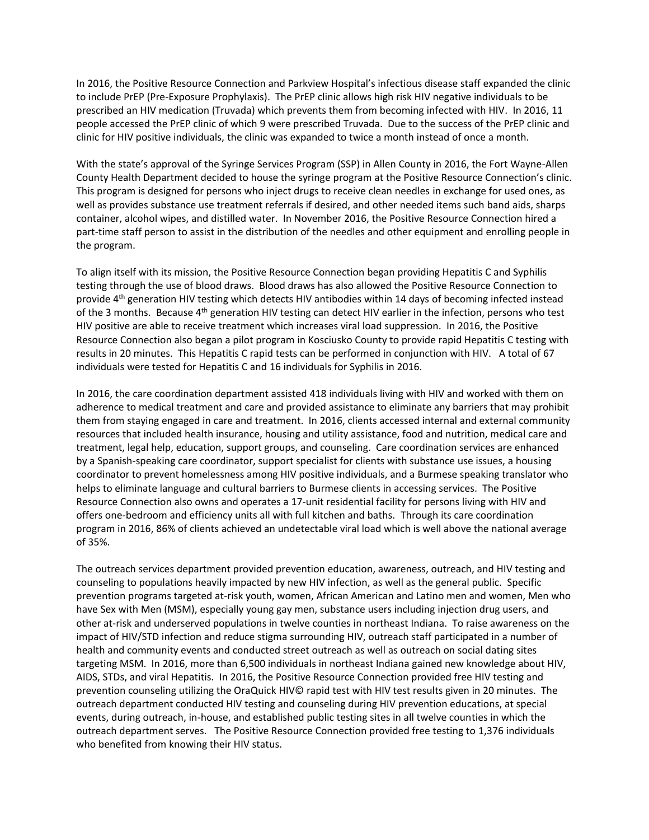In 2016, the Positive Resource Connection and Parkview Hospital's infectious disease staff expanded the clinic to include PrEP (Pre-Exposure Prophylaxis). The PrEP clinic allows high risk HIV negative individuals to be prescribed an HIV medication (Truvada) which prevents them from becoming infected with HIV. In 2016, 11 people accessed the PrEP clinic of which 9 were prescribed Truvada. Due to the success of the PrEP clinic and clinic for HIV positive individuals, the clinic was expanded to twice a month instead of once a month.

With the state's approval of the Syringe Services Program (SSP) in Allen County in 2016, the Fort Wayne-Allen County Health Department decided to house the syringe program at the Positive Resource Connection's clinic. This program is designed for persons who inject drugs to receive clean needles in exchange for used ones, as well as provides substance use treatment referrals if desired, and other needed items such band aids, sharps container, alcohol wipes, and distilled water. In November 2016, the Positive Resource Connection hired a part-time staff person to assist in the distribution of the needles and other equipment and enrolling people in the program.

To align itself with its mission, the Positive Resource Connection began providing Hepatitis C and Syphilis testing through the use of blood draws. Blood draws has also allowed the Positive Resource Connection to provide 4th generation HIV testing which detects HIV antibodies within 14 days of becoming infected instead of the 3 months. Because  $4<sup>th</sup>$  generation HIV testing can detect HIV earlier in the infection, persons who test HIV positive are able to receive treatment which increases viral load suppression. In 2016, the Positive Resource Connection also began a pilot program in Kosciusko County to provide rapid Hepatitis C testing with results in 20 minutes. This Hepatitis C rapid tests can be performed in conjunction with HIV. A total of 67 individuals were tested for Hepatitis C and 16 individuals for Syphilis in 2016.

In 2016, the care coordination department assisted 418 individuals living with HIV and worked with them on adherence to medical treatment and care and provided assistance to eliminate any barriers that may prohibit them from staying engaged in care and treatment. In 2016, clients accessed internal and external community resources that included health insurance, housing and utility assistance, food and nutrition, medical care and treatment, legal help, education, support groups, and counseling. Care coordination services are enhanced by a Spanish-speaking care coordinator, support specialist for clients with substance use issues, a housing coordinator to prevent homelessness among HIV positive individuals, and a Burmese speaking translator who helps to eliminate language and cultural barriers to Burmese clients in accessing services. The Positive Resource Connection also owns and operates a 17-unit residential facility for persons living with HIV and offers one-bedroom and efficiency units all with full kitchen and baths. Through its care coordination program in 2016, 86% of clients achieved an undetectable viral load which is well above the national average of 35%.

The outreach services department provided prevention education, awareness, outreach, and HIV testing and counseling to populations heavily impacted by new HIV infection, as well as the general public. Specific prevention programs targeted at-risk youth, women, African American and Latino men and women, Men who have Sex with Men (MSM), especially young gay men, substance users including injection drug users, and other at-risk and underserved populations in twelve counties in northeast Indiana. To raise awareness on the impact of HIV/STD infection and reduce stigma surrounding HIV, outreach staff participated in a number of health and community events and conducted street outreach as well as outreach on social dating sites targeting MSM. In 2016, more than 6,500 individuals in northeast Indiana gained new knowledge about HIV, AIDS, STDs, and viral Hepatitis. In 2016, the Positive Resource Connection provided free HIV testing and prevention counseling utilizing the OraQuick HIV© rapid test with HIV test results given in 20 minutes. The outreach department conducted HIV testing and counseling during HIV prevention educations, at special events, during outreach, in-house, and established public testing sites in all twelve counties in which the outreach department serves. The Positive Resource Connection provided free testing to 1,376 individuals who benefited from knowing their HIV status.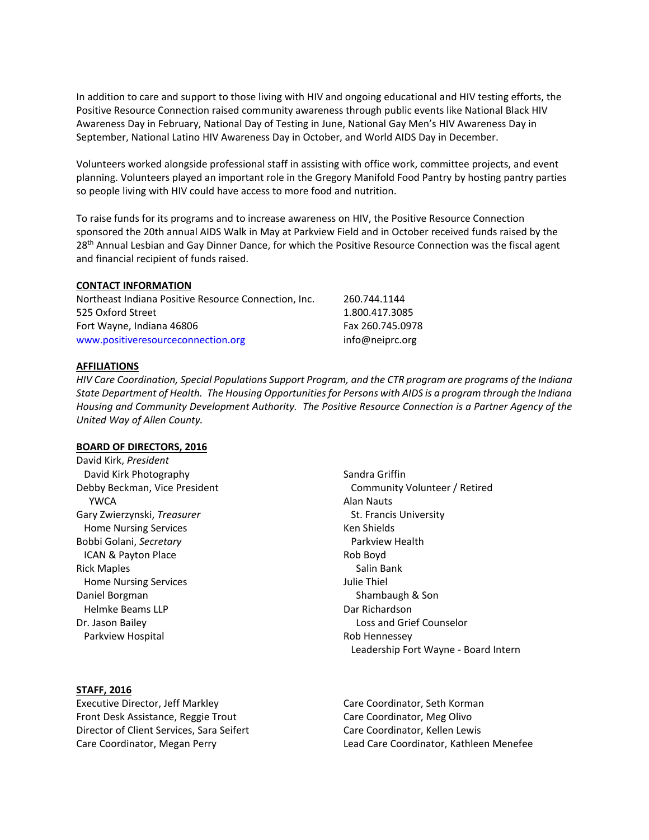In addition to care and support to those living with HIV and ongoing educational and HIV testing efforts, the Positive Resource Connection raised community awareness through public events like National Black HIV Awareness Day in February, National Day of Testing in June, National Gay Men's HIV Awareness Day in September, National Latino HIV Awareness Day in October, and World AIDS Day in December.

Volunteers worked alongside professional staff in assisting with office work, committee projects, and event planning. Volunteers played an important role in the Gregory Manifold Food Pantry by hosting pantry parties so people living with HIV could have access to more food and nutrition.

To raise funds for its programs and to increase awareness on HIV, the Positive Resource Connection sponsored the 20th annual AIDS Walk in May at Parkview Field and in October received funds raised by the 28<sup>th</sup> Annual Lesbian and Gay Dinner Dance, for which the Positive Resource Connection was the fiscal agent and financial recipient of funds raised.

### **CONTACT INFORMATION**

| Northeast Indiana Positive Resource Connection, Inc. | 260.744.1144     |
|------------------------------------------------------|------------------|
| 525 Oxford Street                                    | 1.800.417.3085   |
| Fort Wayne, Indiana 46806                            | Fax 260.745.0978 |
| www.positiveresourceconnection.org                   | info@neiprc.org  |

#### **AFFILIATIONS**

*HIV Care Coordination, Special Populations Support Program, and the CTR program are programs of the Indiana State Department of Health. The Housing Opportunities for Persons with AIDS is a program through the Indiana Housing and Community Development Authority. The Positive Resource Connection is a Partner Agency of the United Way of Allen County.*

#### **BOARD OF DIRECTORS, 2016**

David Kirk, *President* David Kirk Photography Debby Beckman, Vice President YWCA Gary Zwierzynski, *Treasurer* Home Nursing Services Bobbi Golani, *Secretary* ICAN & Payton Place Rick Maples Home Nursing Services Daniel Borgman Helmke Beams LLP Dr. Jason Bailey Parkview Hospital

**STAFF, 2016**

Executive Director, Jeff Markley Front Desk Assistance, Reggie Trout Director of Client Services, Sara Seifert Care Coordinator, Megan Perry

Sandra Griffin Community Volunteer / Retired Alan Nauts St. Francis University Ken Shields Parkview Health Rob Boyd Salin Bank Julie Thiel Shambaugh & Son Dar Richardson Loss and Grief Counselor Rob Hennessey Leadership Fort Wayne - Board Intern

Care Coordinator, Seth Korman Care Coordinator, Meg Olivo Care Coordinator, Kellen Lewis Lead Care Coordinator, Kathleen Menefee